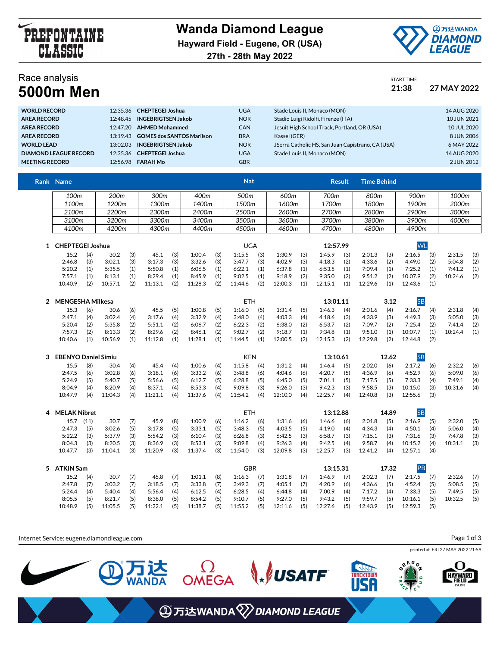



## Race analysis

| Race analysis    | <b>START TIME</b> |             |
|------------------|-------------------|-------------|
| <b>5000m Men</b> | 21:38             | 27 MAY 2022 |

| <b>WORLD RECORD</b>          |          | 12:35.36 CHEPTEGEI Joshua          | <b>UGA</b> | Stade Louis II. Monaco (MON)                      | 14 AUG 2020 |
|------------------------------|----------|------------------------------------|------------|---------------------------------------------------|-------------|
| <b>AREA RECORD</b>           |          | 12:48.45 INGEBRIGTSEN Jakob        | <b>NOR</b> | Stadio Luigi Ridolfi, Firenze (ITA)               | 10 JUN 2021 |
| <b>AREA RECORD</b>           | 12.47.20 | <b>AHMED Mohammed</b>              | <b>CAN</b> | Jesuit High School Track, Portland, OR (USA)      | 10 JUL 2020 |
| <b>AREA RECORD</b>           |          | 13:19.43 GOMES dos SANTOS Marilson | <b>BRA</b> | Kassel (GER)                                      | 8 JUN 2006  |
| <b>WORLD LEAD</b>            |          | 13:02.03 INGEBRIGTSEN Jakob        | <b>NOR</b> | JSerra Catholic HS, San Juan Capistrano, CA (USA) | 6 MAY 2022  |
| <b>DIAMOND LEAGUE RECORD</b> |          | 12:35.36 CHEPTEGEI Joshua          | <b>UGA</b> | Stade Louis II. Monaco (MON)                      | 14 AUG 2020 |
| <b>MEETING RECORD</b>        |          | 12:56.98 <b>FARAH Mo</b>           | <b>GBR</b> |                                                   | 2 JUN 2012  |
|                              |          |                                    |            |                                                   |             |

| Rank Name        |       |       |       | <b>Nat</b> |       | Result | <b>Time Behind</b> |       |       |
|------------------|-------|-------|-------|------------|-------|--------|--------------------|-------|-------|
| 100 <sub>m</sub> | 200m  | 300m  | 400m  | 500m       | 600m  | 700m   | 800m               | 900m  | 1000m |
| 1100m            | 1200m | 1300m | 1400m | 1500m      | 1600m | 1700m  | 1800m              | 1900m | 2000m |
| 2100m            | 2200m | 2300m | 2400m | 2500m      | 2600m | 2700m  | 2800m              | 2900m | 3000m |
| 3100m            | 3200m | 3300m | 3400m | 3500m      | 3600m | 3700m  | 3800m              | 3900m | 4000m |
| 4100m            | 4200m | 4300m | 4400m | 4500m      | 4600m | 4700m  | 4800m              | 4900m |       |

| <b>CHEPTEGEI Joshua</b> |     |         |     |         |     |         |     | UGA     |     |         |     | 12:57.99 |     |         |     | <b>WI</b> |     |         |     |
|-------------------------|-----|---------|-----|---------|-----|---------|-----|---------|-----|---------|-----|----------|-----|---------|-----|-----------|-----|---------|-----|
| 15.2                    | (4) | 30.2    | (3) | 45.1    | (3) | 1:00.4  | (3) | 1:15.5  | (3) | 1:30.9  | (3) | 1:45.9   | (3) | 2:01.3  | (3) | 2:16.5    | (3) | 2:31.5  | (3) |
| 2:46.8                  | (3) | 3:02.1  | (3) | 3:17.3  | (3) | 3:32.6  | (3) | 3:47.7  | (3) | 4:02.9  | (3) | 4:18.3   | (2) | 4:33.6  | (2) | 4:49.0    | (2) | 5:04.8  | (2) |
| 5:20.2                  |     | 5:35.5  | (1) | 5:50.8  | (1) | 6:06.5  | (1) | 6:22.1  | (1) | 6:37.8  | (1) | 6:53.5   | (1) | 7:09.4  | (1) | 7:25.2    | (1) | 7:41.2  | (1) |
| 7:57.1                  |     | 8:13.1  | (1) | 8:29.4  | (1) | 8:45.9  | (1) | 9:02.5  | (1) | 9:18.9  | (2) | 9:35.0   | (2) | 9:51.2  | (2) | 10:07.9   | (2) | 10:24.6 | (2) |
| 10:40.9                 | (2) | 10:57.1 | (2) | 11:13.1 | (2) | 11:28.3 | (2) | 11:44.6 | (2) | 12:00.3 | (1) | 12:15.1  | (1) | 12:29.6 | (1) | 12:43.6   |     |         |     |

| MENGESHA Milkesa |     |         |     |         |     |         |     | ETH     |     |         |     | 13:01.11 |     |         | 3.12 | lSΒ     |     |         |     |
|------------------|-----|---------|-----|---------|-----|---------|-----|---------|-----|---------|-----|----------|-----|---------|------|---------|-----|---------|-----|
| 15.3             |     | 30.6    | (6) | 45.5    | (5) | 1:00.8  | (5) | 1:16.0  | (5) | 1:31.4  | (5) | 1:46.3   | (4) | 2:01.6  | (4)  | 2:16.7  | (4) | 2:31.8  | (4) |
| 2:47.1           | (4) | 3:02.4  | (4) | 3:17.6  | (4) | 3:32.9  | (4) | 3:48.0  | (4) | 4:03.3  | (4) | 4:18.6   | (3) | 4:33.9  | (3)  | 4:49.3  | (3) | 5:05.0  | (3) |
| 5:20.4           | (2) | 5:35.8  | (2) | 5:51.1  | (2) | 6:06.7  | (2) | 6:22.3  | (2) | 6:38.0  | (2) | 6:53.7   | (2) | 7:09.7  | (2)  | 7:25.4  | (2) | 7:41.4  | (2) |
| 7:57.3           | (2) | 8:13.3  | (2) | 8:29.6  | (2) | 8:46.1  | (2) | 9:02.7  | (2) | 9:18.7  | (1) | 9:34.8   | (1) | 9:51.0  | (1)  | 10:07.7 | (1) | 10:24.4 | (1) |
| 10:40.6          |     | 10:56.9 | (1) | 11:12.8 | (1) | 11:28.1 | (1) | 11:44.5 | (1) | 12:00.5 | (2) | 12:15.3  | (2) | 12:29.8 | (2)  | 12:44.8 | (2) |         |     |

| <b>EBENYO Daniel Simiu</b> |     |         |     |         |     |         |     | KEN     |     |         |     | 13:10.61 |     |         | 12.62 |         |     |         |     |
|----------------------------|-----|---------|-----|---------|-----|---------|-----|---------|-----|---------|-----|----------|-----|---------|-------|---------|-----|---------|-----|
| 15.5                       | (8) | 30.4    | (4) | 45.4    | (4) | 1:00.6  | (4) | 1:15.8  | (4) | 1:31.2  | (4) | 1:46.4   | (5) | 2:02.0  | (6)   | 2:17.2  | (6) | 2:32.2  | (6) |
| 2:47.5                     | (6) | 3:02.8  | (6) | 3:18.1  | (6) | 3:33.2  | (6) | 3:48.8  | (6) | 4:04.6  | (6) | 4:20.7   | (5) | 4:36.9  | (6)   | 4:52.9  | (6) | 5:09.0  | (6) |
| 5:24.9                     | (5) | 5:40.7  | (5) | 5:56.6  | (5) | 6:12.7  | (5) | 6:28.8  | (5) | 6:45.0  | (5) | 7:01.1   | (5) | 7:17.5  | (5)   | 7:33.3  | (4) | 7:49.1  | (4) |
| 8:04.9                     | (4) | 8:20.9  | (4) | 8:37.1  | (4) | 8:53.3  | (4) | 9:09.8  | (3) | 9:26.0  | (3) | 9:42.3   | (3) | 9:58.5  | (3)   | 10:15.0 | (3) | 10:31.6 | (4) |
| 10:47.9                    | (4) | 11:04.3 | (4) | 11:21.1 | (4) | 11:37.6 | (4) | 11:54.2 | (4) | 12:10.0 | (4) | 12:25.7  | (4) | 12:40.8 | (3)   | 12:55.6 | (3) |         |     |

| 4 | <b>MELAK Nibret</b> |      |         |     |         |     |         |     | ETH     |     |         |     | 13:12.88 |     |         | 14.89 | <b>SB</b> |     |         |     |
|---|---------------------|------|---------|-----|---------|-----|---------|-----|---------|-----|---------|-----|----------|-----|---------|-------|-----------|-----|---------|-----|
|   | 15.7                | (11) | 30.7    | (7) | 45.9    | (8) | 1:00.9  | (6) | 1:16.2  | (6) | 1:31.6  | (6) | 1:46.6   | (6) | 2:01.8  | (5)   | 2:16.9    | (5) | 2:32.0  | (5) |
|   | 2:47.3              | (5)  | 3:02.6  | (5) | 3:17.8  | (5) | 3:33.1  | (5) | 3:48.3  | (5) | 4:03.5  | (5) | 4:19.0   | (4) | 4:34.3  | (4)   | 4:50.1    | (4) | 5:06.0  | (4) |
|   | 5:22.2              | (3)  | 5:37.9  | (3) | 5:54.2  | (3) | 6:10.4  | (3) | 6:26.8  | (3) | 6:42.5  | (3) | 6:58.7   | (3) | 7:15.1  | (3)   | 7:31.6    | (3) | 7:47.8  | (3) |
|   | 8:04.3              | (3)  | 8:20.5  | (3) | 8:36.9  | (3) | 8:53.1  | (3) | 9:09.8  | (4) | 9:26.3  | (4) | 9:42.5   | (4) | 9:58.7  | (4)   | 10:15.2   | (4) | 10:31.1 | (3) |
|   | 10:47.7             | (3)  | 11:04.1 | (3) | 11:20.9 | (3) | 11:37.4 | (3) | 11:54.0 | (3) | 12:09.8 | (3) | 12:25.7  | (3) | 12:41.2 | (4)   | 12:57.1   | (4) |         |     |
|   |                     |      |         |     |         |     |         |     |         |     |         |     |          |     |         |       |           |     |         |     |

| ATKIN Sam |     |         |     |         |     |         |     | GBR     |     |         |     | 13:15.31 |     |         | 17.32 |         |     |         |     |
|-----------|-----|---------|-----|---------|-----|---------|-----|---------|-----|---------|-----|----------|-----|---------|-------|---------|-----|---------|-----|
| 15.2      | (4) | 30.7    |     | 45.8    | (7) | 1:01.1  | (8) | 1:16.3  | (7) | 1:31.8  | (7) | 1:46.9   | (7) | 2:02.3  | (7)   | 2:17.5  | (7) | 2:32.6  | (7) |
| 2:47.8    |     | 3:03.2  | (7) | 3:18.5  | (7) | 3:33.8  | (7) | 3:49.3  | (7) | 4:05.1  | (7) | 4:20.9   | (6) | 4:36.6  | (5)   | 4:52.4  | (5) | 5:08.5  | (5) |
| 5:24.4    | (4) | 5:40.4  | (4) | 5:56.4  | (4) | 6:12.5  | (4) | 6:28.5  | (4) | 6:44.8  | (4) | 7:00.9   | (4) | 7:17.2  | (4)   | 7:33.3  | (5) | 7:49.5  | (5) |
| 8:05.5    |     | 8:21.7  | (5) | 8:38.0  | (5) | 8:54.2  | (5) | 9:10.7  | (5) | 9:27.0  | (5) | 9:43.2   | (5) | 9:59.7  | (5)   | 10:16.1 | (5) | 10:32.5 | (5) |
| 10:48.9   |     | 11:05.5 | (5) | 11:22.1 | (5) | 11:38.7 | (5) | 11:55.2 | (5) | 12:11.6 | (5) | 12:27.6  | (5) | 12:43.9 | (5)   | 12:59.3 | (5) |         |     |

Internet Service: eugene.diamondleague.com Page 1 of 3printed at FRI 27 MAY 2022 21:59  $R_E$ <sup>E</sup> $G$ <sub>2</sub> OMEGA  $\mathcal{L}$  VSATF I达<br>NDA **TRACKTOWN HAYWARD ④万达WANDA 2>DIAMOND LEAGUE**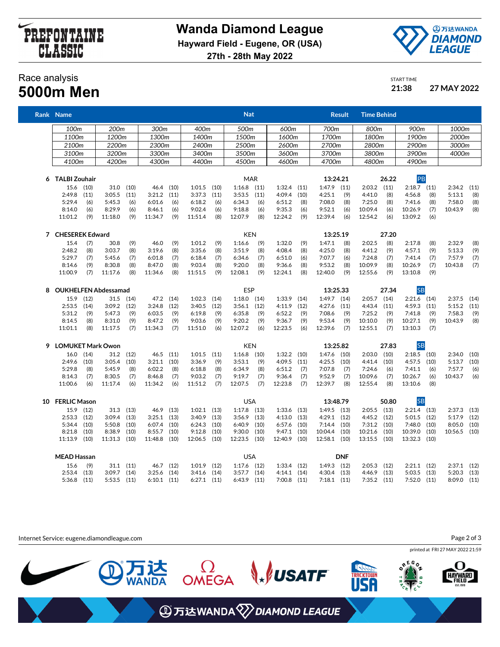



START TIME

## Race analysis **5000m Men 21:38 27 MAY 2022**

|   | Rank Name                   |      |                  |               |                 |           |                 |      | <u>Nat</u>      |      |                 |      |                 | Result     | Time Behind   |       |               |      |             |      |
|---|-----------------------------|------|------------------|---------------|-----------------|-----------|-----------------|------|-----------------|------|-----------------|------|-----------------|------------|---------------|-------|---------------|------|-------------|------|
|   | 100 <sub>m</sub>            |      | 200 <sub>m</sub> |               | 300m            |           | 400m            |      | 500m            |      | 600m            |      | 700m            |            | 800m          |       | 900m          |      | 1000m       |      |
|   | 1100m                       |      | 1200m            |               | 1300m           |           | 1400m           |      | 1500m           |      | 1600m           |      | 1700m           |            | 1800m         |       | 1900m         |      | 2000m       |      |
|   | 2100m                       |      | 2200m            |               | 2300m           |           | 2400m           |      | 2500m           |      | 2600m           |      | 2700m           |            | 2800m         |       | 2900m         |      | 3000m       |      |
|   | 3100m                       |      | 3200m            |               | 3300m           |           | 3400m           |      | 3500m           |      | 3600m           |      | 3700m           |            | 3800m         |       | 3900m         |      | 4000m       |      |
|   | 4100m                       |      | 4200m            |               | 4300m           |           | 4400m           |      | 4500m           |      | 4600m           |      | 4700m           |            | 4800m         |       | 4900m         |      |             |      |
|   |                             |      |                  |               |                 |           |                 |      |                 |      |                 |      |                 |            |               |       |               |      |             |      |
|   | 6 TALBI Zouhair             |      |                  |               |                 |           |                 |      | MAR             |      |                 |      | 13:24.21        |            |               | 26.22 | PB            |      |             |      |
|   | 15.6 (10)                   |      |                  | $31.0$ $(10)$ |                 | 46.4 (10) | 1:01.5          | (10) | $1:16.8$ (11)   |      | $1:32.4$ (11)   |      | $1:47.9$ $(11)$ |            | $2:03.2$ (11) |       | $2:18.7$ (11) |      | 2:34.2      | (11) |
|   | 2:49.8                      | (11) | 3:05.5           | (11)          | 3:21.2          | (11)      | 3:37.3          | (11) | 3:53.5          | (11) | 4:09.4          | (10) | 4:25.1          | (9)        | 4:41.0        | (8)   | 4:56.8        | (8)  | 5:13.1      | (8)  |
|   | 5:29.4                      | (6)  | 5:45.3           | (6)           | 6:01.6          | (6)       | 6:18.2          | (6)  | 6:34.3          | (6)  | 6:51.2          | (8)  | 7:08.0          | (8)        | 7:25.0        | (8)   | 7:41.6        | (8)  | 7:58.0      | (8)  |
|   | 8:14.0                      | (6)  | 8:29.9           | (6)           | 8:46.1          | (6)       | 9:02.4          | (6)  | 9:18.8          | (6)  | 9:35.3          | (6)  | 9:52.1          | (6)        | 10:09.4       | (6)   | 10:26.9       | (7)  | 10:43.9     | (8)  |
|   | 11:01.2                     | (9)  | 11:18.0          | (9)           | 11:34.7         | (9)       | 11:51.4         | (8)  | 12:07.9         | (8)  | 12:24.2         | (9)  | 12:39.4         | (6)        | 12:54.2       | (6)   | 13:09.2       | (6)  |             |      |
|   | 7 CHESEREK Edward           |      |                  |               |                 |           |                 |      | <b>KEN</b>      |      |                 |      | 13:25.19        |            |               | 27.20 |               |      |             |      |
|   | 15.4                        | (7)  | 30.8             | (9)           | 46.0            | (9)       | 1:01.2          | (9)  | 1:16.6          | (9)  | 1:32.0          | (9)  | 1:47.1          | (8)        | 2:02.5        | (8)   | 2:17.8        | (8)  | 2:32.9      | (8)  |
|   | 2:48.2                      | (8)  | 3:03.7           | (8)           | 3:19.6          | (8)       | 3:35.6          | (8)  | 3:51.9          | (8)  | 4:08.4          | (8)  | 4:25.0          | (8)        | 4:41.2        | (9)   | 4:57.1        | (9)  | 5:13.3      | (9)  |
|   | 5:29.7                      | (7)  | 5:45.6           | (7)           | 6:01.8          | (7)       | 6:18.4          | (7)  | 6:34.6          | (7)  | 6:51.0          | (6)  | 7:07.7          | (6)        | 7:24.8        | (7)   | 7:41.4        | (7)  | 7:57.9      | (7)  |
|   | 8:14.6                      | (9)  | 8:30.8           | (8)           | 8:47.0          | (8)       | 9:03.4          | (8)  | 9:20.0          | (8)  | 9:36.6          | (8)  | 9:53.2          | (8)        | 10:09.9       | (8)   | 10:26.9       | (7)  | 10:43.8     | (7)  |
|   | 11:00.9                     | (7)  | 11:17.6          | (8)           | 11:34.6         | (8)       | 11:51.5         | (9)  | 12:08.1         | (9)  | 12:24.1         | (8)  | 12:40.0         | (9)        | 12:55.6       | (9)   | 13:10.8       | (9)  |             |      |
| 8 | <b>OUKHELFEN Abdessamad</b> |      |                  |               |                 |           |                 |      | ESP             |      |                 |      | 13:25.33        |            |               | 27.34 | <b>SB</b>     |      |             |      |
|   | 15.9 (12)                   |      | 31.5             | (14)          |                 | 47.2 (14) | 1:02.3          | (14) | $1:18.0$ (14)   |      | 1:33.9          | (14) | $1:49.7$ $(14)$ |            | $2:05.7$ (14) |       | $2:21.6$ (14) |      | 2:37.5      | (14) |
|   | $2:53.5$ (14)               |      | 3:09.2           | (12)          | 3:24.8          | (12)      | 3:40.5          | (12) | 3:56.1          | (12) | 4:11.9          | (12) | 4:27.6          | (11)       | 4:43.4        | (11)  | 4:59.3        | (11) | 5:15.2      | (11) |
|   | 5:31.2                      | (9)  | 5:47.3           | (9)           | 6:03.5          | (9)       | 6:19.8          | (9)  | 6:35.8          | (9)  | 6:52.2          | (9)  | 7:08.6          | (9)        | 7:25.2        | (9)   | 7:41.8        | (9)  | 7:58.3      | (9)  |
|   | 8:14.5                      | (8)  | 8:31.0           | (9)           | 8:47.2          | (9)       | 9:03.6          | (9)  | 9:20.2          | (9)  | 9:36.7          | (9)  | 9:53.4          | (9)        | 10:10.0       | (9)   | 10:27.1       | (9)  | 10:43.9     | (8)  |
|   | 11:01.1                     | (8)  | 11:17.5          | (7)           | 11:34.3         | (7)       | 11:51.0         | (6)  | 12:07.2         | (6)  | 12:23.5         | (6)  | 12:39.6         | (7)        | 12:55.1       | (7)   | 13:10.3       | (7)  |             |      |
| 9 | <b>LOMUKET Mark Owon</b>    |      |                  |               |                 |           |                 |      | <b>KEN</b>      |      |                 |      | 13:25.82        |            |               | 27.83 | <b>SB</b>     |      |             |      |
|   | $16.0$ $(14)$               |      | 31.2             | (12)          | 46.5            | (11)      | 1:01.5          | (11) | 1:16.8          | (10) | $1:32.2$ (10)   |      | 1:47.6          | (10)       | 2:03.0        | (10)  | $2:18.5$ (10) |      | 2:34.0      | (10) |
|   | 2:49.6                      | (10) | 3:05.4           | (10)          | $3:21.1$ (10)   |           | 3:36.9          | (9)  | 3:53.1          | (9)  | 4:09.5          | (11) | 4:25.5          | (10)       | 4:41.4        | (10)  | 4:57.5        | (10) | 5:13.7      | (10) |
|   | 5:29.8                      | (8)  | 5:45.9           | (8)           | 6:02.2          | (8)       | 6:18.8          | (8)  | 6:34.9          | (8)  | 6:51.2          | (7)  | 7:07.8          | (7)        | 7:24.6        | (6)   | 7:41.1        | (6)  | 7:57.7      | (6)  |
|   | 8:14.3                      | (7)  | 8:30.5           | (7)           | 8:46.8          | (7)       | 9:03.2          | (7)  | 9:19.7          | (7)  | 9:36.4          | (7)  | 9:52.9          | (7)        | 10:09.6       | (7)   | 10:26.7       | (6)  | 10:43.7     | (6)  |
|   | 11:00.6                     | (6)  | 11:17.4          | (6)           | 11:34.2         | (6)       | 11:51.2         | (7)  | 12:07.5         | (7)  | 12:23.8         | (7)  | 12:39.7         | (8)        | 12:55.4       | (8)   | 13:10.6       | (8)  |             |      |
|   | 10 FERLIC Mason             |      |                  |               |                 |           |                 |      | <b>USA</b>      |      |                 |      | 13:48.79        |            |               | 50.80 | <b>SB</b>     |      |             |      |
|   | 15.9                        | (12) | 31.3             | (13)          | 46.9            | (13)      | $1:02.1$ $(13)$ |      | 1:17.8          | (13) | $1:33.6$ (13)   |      | $1:49.5$ (13)   |            | 2:05.5        | (13)  | $2:21.4$ (13) |      | 2:37.3      | (13) |
|   | $2:53.3$ $(12)$             |      | 3:09.4           | (13)          | 3:25.1          | (13)      | 3:40.9          | (13) | 3:56.9          | (13) | 4:13.0          | (13) | 4:29.1          | (12)       | 4:45.2        | (12)  | $5:01.5$ (12) |      | 5:17.9      | (12) |
|   | $5:34.4$ (10)               |      | 5:50.8           | (10)          | 6:07.4          | (10)      | 6:24.3          | (10) | 6:40.9          | (10) | 6:57.6          | (10) | 7:14.4          | (10)       | 7:31.2        | (10)  | 7:48.0        | (10) | 8:05.0      | (10) |
|   | 8:21.8                      | (10) | 8:38.9           | (10)          | 8:55.7          | (10)      | 9:12.8          | (10) | 9:30.0          | (10) | $9:47.1$ (10)   |      | 10:04.4         | (10)       | 10:21.6       | (10)  | 10:39.0       | (10) | 10:56.5     | (10) |
|   | $11:13.9$ (10)              |      | 11:31.3          | (10)          | 11:48.8         | (10)      | 12:06.5 (10)    |      | 12:23.5         | (10) | 12:40.9 (10)    |      | 12:58.1 (10)    |            | 13:15.5 (10)  |       | 13:32.3 (10)  |      |             |      |
|   | <b>MEAD Hassan</b>          |      |                  |               |                 |           |                 |      | <b>USA</b>      |      |                 |      |                 | <b>DNF</b> |               |       |               |      |             |      |
|   | 15.6                        | (9)  | 31.1             | (11)          | 46.7            | (12)      | 1:01.9          | (12) | 1:17.6          | (12) | $1:33.4$ (12)   |      | $1:49.3$ (12)   |            | 2:05.3        | (12)  | $2:21.1$ (12) |      | 2:37.1      | (12) |
|   | 2:53.4                      | (13) | 3:09.7           | (14)          | 3:25.6          | (14)      | 3:41.6          | (14) | 3:57.7          | (14) | $4:14.1$ $(14)$ |      | $4:30.4$ $(13)$ |            | 4:46.9        | (13)  | $5:03.5$ (13) |      | 5:20.3      | (13) |
|   | $5:36.8$ (11)               |      | $5:53.5$ $(11)$  |               | $6:10.1$ $(11)$ |           | $6:27.1$ $(11)$ |      | $6:43.9$ $(11)$ |      | $7:00.8$ $(11)$ |      | $7:18.1$ (11)   |            | $7:35.2$ (11) |       | $7:52.0$ (11) |      | 8:09.0 (11) |      |
|   |                             |      |                  |               |                 |           |                 |      |                 |      |                 |      |                 |            |               |       |               |      |             |      |

Internet Service: eugene.diamondleague.com

Page 2 of 3